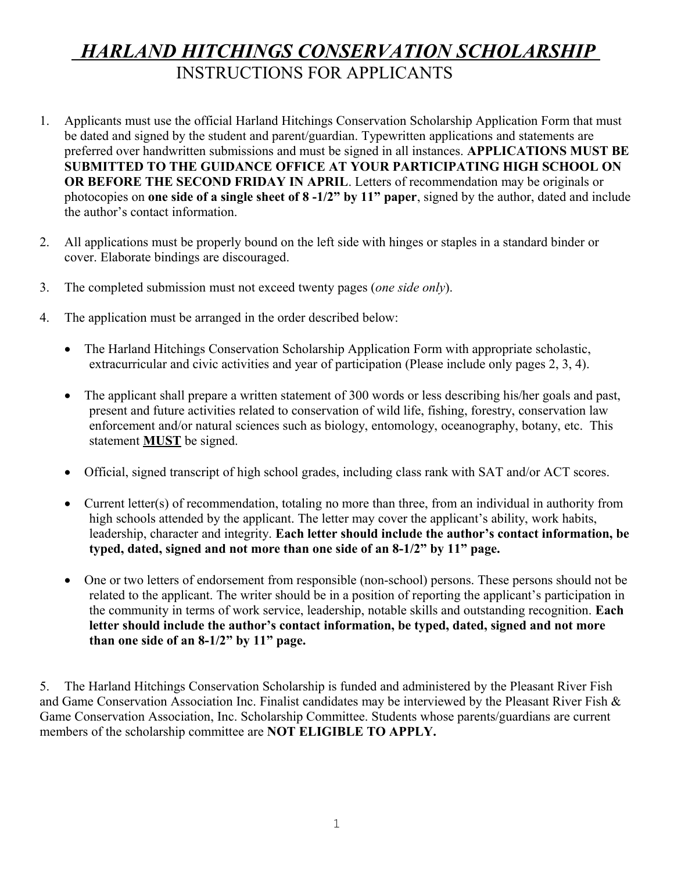# *HARLAND HITCHINGS CONSERVATION SCHOLARSHIP*  INSTRUCTIONS FOR APPLICANTS

- 1. Applicants must use the official Harland Hitchings Conservation Scholarship Application Form that must be dated and signed by the student and parent/guardian. Typewritten applications and statements are preferred over handwritten submissions and must be signed in all instances. **APPLICATIONS MUST BE SUBMITTED TO THE GUIDANCE OFFICE AT YOUR PARTICIPATING HIGH SCHOOL ON OR BEFORE THE SECOND FRIDAY IN APRIL**. Letters of recommendation may be originals or photocopies on **one side of a single sheet of 8 -1/2" by 11" paper**, signed by the author, dated and include the author's contact information.
- 2. All applications must be properly bound on the left side with hinges or staples in a standard binder or cover. Elaborate bindings are discouraged.
- 3. The completed submission must not exceed twenty pages (*one side only*).
- 4. The application must be arranged in the order described below:
	- The Harland Hitchings Conservation Scholarship Application Form with appropriate scholastic, extracurricular and civic activities and year of participation (Please include only pages 2, 3, 4).
	- The applicant shall prepare a written statement of 300 words or less describing his/her goals and past, present and future activities related to conservation of wild life, fishing, forestry, conservation law enforcement and/or natural sciences such as biology, entomology, oceanography, botany, etc. This statement **MUST** be signed.
	- Official, signed transcript of high school grades, including class rank with SAT and/or ACT scores.
	- Current letter(s) of recommendation, totaling no more than three, from an individual in authority from high schools attended by the applicant. The letter may cover the applicant's ability, work habits, leadership, character and integrity. **Each letter should include the author's contact information, be typed, dated, signed and not more than one side of an 8-1/2" by 11" page.**
	- One or two letters of endorsement from responsible (non-school) persons. These persons should not be related to the applicant. The writer should be in a position of reporting the applicant's participation in the community in terms of work service, leadership, notable skills and outstanding recognition. **Each letter should include the author's contact information, be typed, dated, signed and not more than one side of an 8-1/2" by 11" page.**

5. The Harland Hitchings Conservation Scholarship is funded and administered by the Pleasant River Fish and Game Conservation Association Inc. Finalist candidates may be interviewed by the Pleasant River Fish & Game Conservation Association, Inc. Scholarship Committee. Students whose parents/guardians are current members of the scholarship committee are **NOT ELIGIBLE TO APPLY.**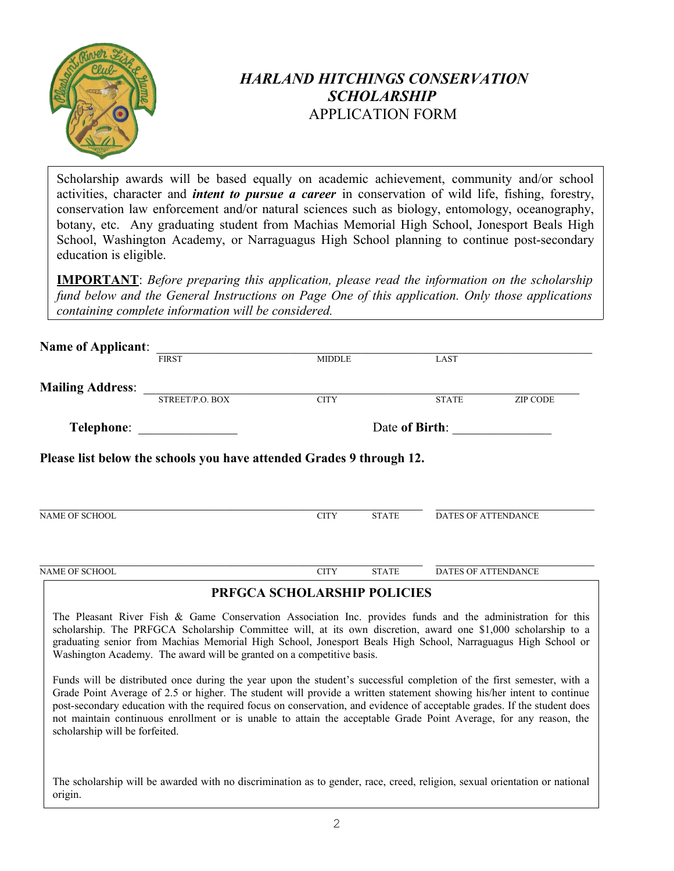

## *HARLAND HITCHINGS CONSERVATION SCHOLARSHIP* APPLICATION FORM

Scholarship awards will be based equally on academic achievement, community and/or school activities, character and *intent to pursue a career* in conservation of wild life, fishing, forestry, conservation law enforcement and/or natural sciences such as biology, entomology, oceanography, botany, etc. Any graduating student from Machias Memorial High School, Jonesport Beals High School, Washington Academy, or Narraguagus High School planning to continue post-secondary education is eligible.

**IMPORTANT**: *Before preparing this application, please read the information on the scholarship fund below and the General Instructions on Page One of this application. Only those applications containing complete information will be considered.*

| <b>Name of Applicant:</b>      |                                                                                                                                                                                                                                                                                                                                                                                                                                                                                                                                                |                             |              |                            |                 |
|--------------------------------|------------------------------------------------------------------------------------------------------------------------------------------------------------------------------------------------------------------------------------------------------------------------------------------------------------------------------------------------------------------------------------------------------------------------------------------------------------------------------------------------------------------------------------------------|-----------------------------|--------------|----------------------------|-----------------|
|                                | <b>FIRST</b>                                                                                                                                                                                                                                                                                                                                                                                                                                                                                                                                   | <b>MIDDLE</b>               |              | LAST                       |                 |
| <b>Mailing Address:</b>        | STREET/P.O. BOX                                                                                                                                                                                                                                                                                                                                                                                                                                                                                                                                | <b>CITY</b>                 |              | <b>STATE</b>               | <b>ZIP CODE</b> |
| Telephone:                     |                                                                                                                                                                                                                                                                                                                                                                                                                                                                                                                                                | Date of Birth:              |              |                            |                 |
|                                | Please list below the schools you have attended Grades 9 through 12.                                                                                                                                                                                                                                                                                                                                                                                                                                                                           |                             |              |                            |                 |
| <b>NAME OF SCHOOL</b>          |                                                                                                                                                                                                                                                                                                                                                                                                                                                                                                                                                | <b>CITY</b>                 | <b>STATE</b> | DATES OF ATTENDANCE        |                 |
| <b>NAME OF SCHOOL</b>          |                                                                                                                                                                                                                                                                                                                                                                                                                                                                                                                                                | <b>CITY</b>                 | <b>STATE</b> | <b>DATES OF ATTENDANCE</b> |                 |
|                                |                                                                                                                                                                                                                                                                                                                                                                                                                                                                                                                                                | PRFGCA SCHOLARSHIP POLICIES |              |                            |                 |
|                                | The Pleasant River Fish & Game Conservation Association Inc. provides funds and the administration for this<br>scholarship. The PRFGCA Scholarship Committee will, at its own discretion, award one \$1,000 scholarship to a<br>graduating senior from Machias Memorial High School, Jonesport Beals High School, Narraguagus High School or<br>Washington Academy. The award will be granted on a competitive basis.<br>Funds will be distributed once during the year upon the student's successful completion of the first semester, with a |                             |              |                            |                 |
| scholarship will be forfeited. | Grade Point Average of 2.5 or higher. The student will provide a written statement showing his/her intent to continue<br>post-secondary education with the required focus on conservation, and evidence of acceptable grades. If the student does<br>not maintain continuous enrollment or is unable to attain the acceptable Grade Point Average, for any reason, the                                                                                                                                                                         |                             |              |                            |                 |
| origin.                        | The scholarship will be awarded with no discrimination as to gender, race, creed, religion, sexual orientation or national                                                                                                                                                                                                                                                                                                                                                                                                                     |                             |              |                            |                 |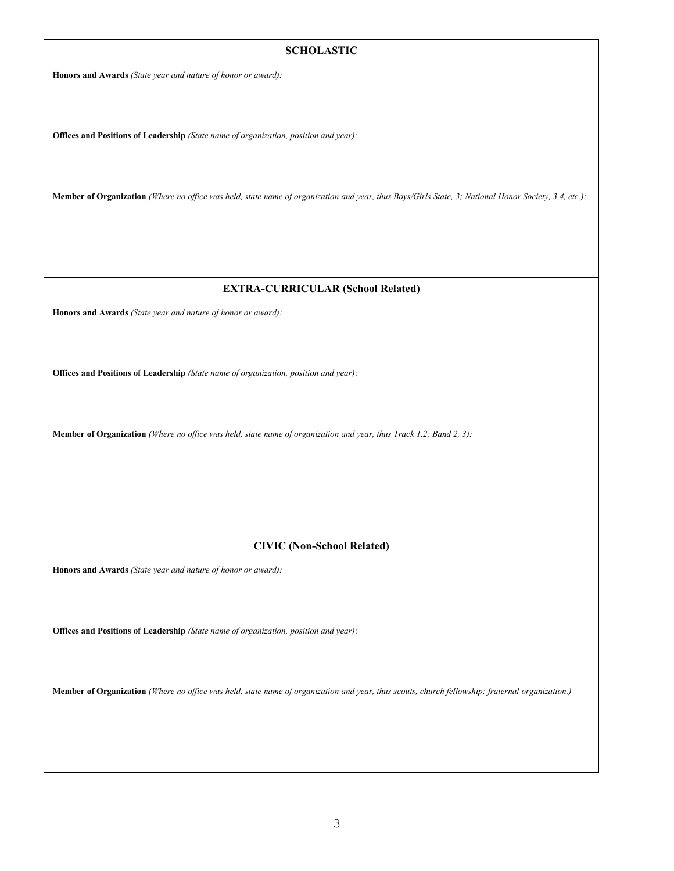### **SCHOLASTIC**

**Honors and Awards** *(State year and nature of honor or award):*

**Offices and Positions of Leadership** *(State name of organization, position and year)*:

**Member of Organization** *(Where no office was held, state name of organization and year, thus Boys/Girls State, 3; National Honor Society, 3,4, etc.):*

#### **EXTRA-CURRICULAR (School Related)**

**Honors and Awards** *(State year and nature of honor or award):*

**Offices and Positions of Leadership** *(State name of organization, position and year)*:

**Member of Organization** *(Where no office was held, state name of organization and year, thus Track 1,2; Band 2, 3):*

### **CIVIC (Non-School Related)**

**Honors and Awards** *(State year and nature of honor or award):*

**Offices and Positions of Leadership** *(State name of organization, position and year)*:

**Member of Organization** *(Where no office was held, state name of organization and year, thus scouts, church fellowship; fraternal organization.)*